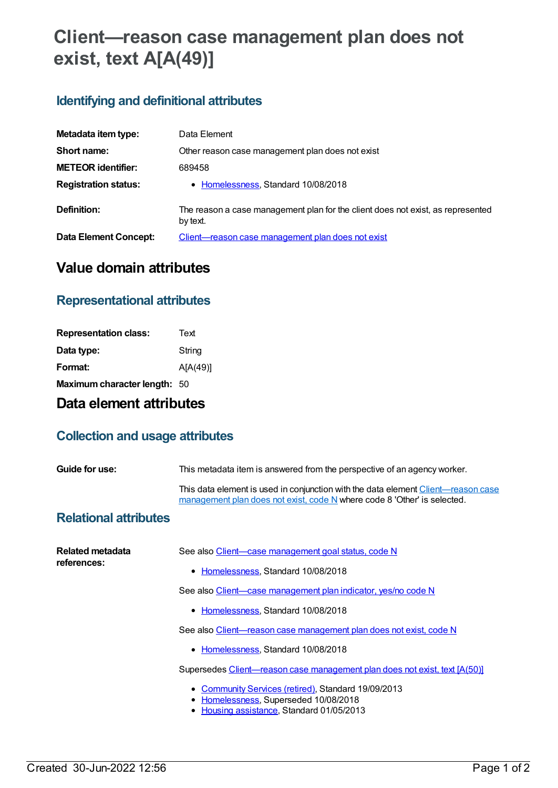# **Client—reason case management plan does not exist, text A[A(49)]**

# **Identifying and definitional attributes**

| Metadata item type:          | Data Element                                                                                |
|------------------------------|---------------------------------------------------------------------------------------------|
| Short name:                  | Other reason case management plan does not exist                                            |
| <b>METEOR identifier:</b>    | 689458                                                                                      |
| <b>Registration status:</b>  | • Homelessness, Standard 10/08/2018                                                         |
| Definition:                  | The reason a case management plan for the client does not exist, as represented<br>by text. |
| <b>Data Element Concept:</b> | Client—reason case management plan does not exist                                           |

## **Value domain attributes**

#### **Representational attributes**

| <b>Representation class:</b> | Text     |
|------------------------------|----------|
| Data type:                   | String   |
| Format:                      | A[A(49)] |
| Maximum character length: 50 |          |

### **Data element attributes**

#### **Collection and usage attributes**

| Guide for use:                  | This metadata item is answered from the perspective of an agency worker.                                                                                      |
|---------------------------------|---------------------------------------------------------------------------------------------------------------------------------------------------------------|
|                                 | This data element is used in conjunction with the data element Client—reason case<br>management plan does not exist, code N where code 8 'Other' is selected. |
| <b>Relational attributes</b>    |                                                                                                                                                               |
| Related metadata<br>references: | See also Client—case management goal status, code N                                                                                                           |
|                                 | • Homelessness, Standard 10/08/2018                                                                                                                           |
|                                 | See also Client-case management plan indicator, yes/no code N                                                                                                 |
|                                 | • Homelessness, Standard 10/08/2018                                                                                                                           |
|                                 | See also Client-reason case management plan does not exist, code N                                                                                            |
|                                 | • Homelessness, Standard 10/08/2018                                                                                                                           |
|                                 | Supersedes Client—reason case management plan does not exist, text [A(50)]                                                                                    |
|                                 | • Community Services (retired), Standard 19/09/2013<br>• Homelessness, Superseded 10/08/2018<br>• Housing assistance, Standard 01/05/2013                     |